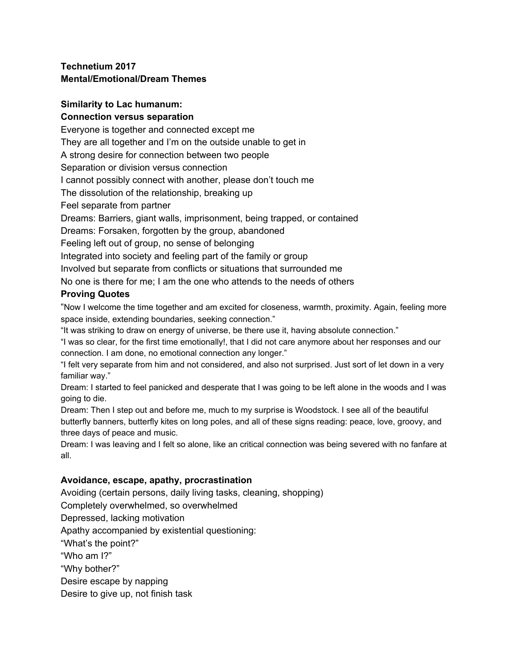# **Technetium 2017 Mental/Emotional/Dream Themes**

# **Similarity to Lac humanum:**

### **Connection versus separation**

Everyone is together and connected except me

They are all together and I'm on the outside unable to get in

A strong desire for connection between two people

Separation or division versus connection

I cannot possibly connect with another, please don't touch me

The dissolution of the relationship, breaking up

Feel separate from partner

Dreams: Barriers, giant walls, imprisonment, being trapped, or contained

Dreams: Forsaken, forgotten by the group, abandoned

Feeling left out of group, no sense of belonging

Integrated into society and feeling part of the family or group

Involved but separate from conflicts or situations that surrounded me

No one is there for me; I am the one who attends to the needs of others

# **Proving Quotes**

"Now I welcome the time together and am excited for closeness, warmth, proximity. Again, feeling more space inside, extending boundaries, seeking connection."

"It was striking to draw on energy of universe, be there use it, having absolute connection."

"I was so clear, for the first time emotionally!, that I did not care anymore about her responses and our connection. I am done, no emotional connection any longer."

"I felt very separate from him and not considered, and also not surprised. Just sort of let down in a very familiar way."

Dream: I started to feel panicked and desperate that I was going to be left alone in the woods and I was going to die.

Dream: Then I step out and before me, much to my surprise is Woodstock. I see all of the beautiful butterfly banners, butterfly kites on long poles, and all of these signs reading: peace, love, groovy, and three days of peace and music.

Dream: I was leaving and I felt so alone, like an critical connection was being severed with no fanfare at all.

# **Avoidance, escape, apathy, procrastination**

Avoiding (certain persons, daily living tasks, cleaning, shopping)

Completely overwhelmed, so overwhelmed

Depressed, lacking motivation

Apathy accompanied by existential questioning:

"What's the point?"

"Who am I?"

"Why bother?"

Desire escape by napping

Desire to give up, not finish task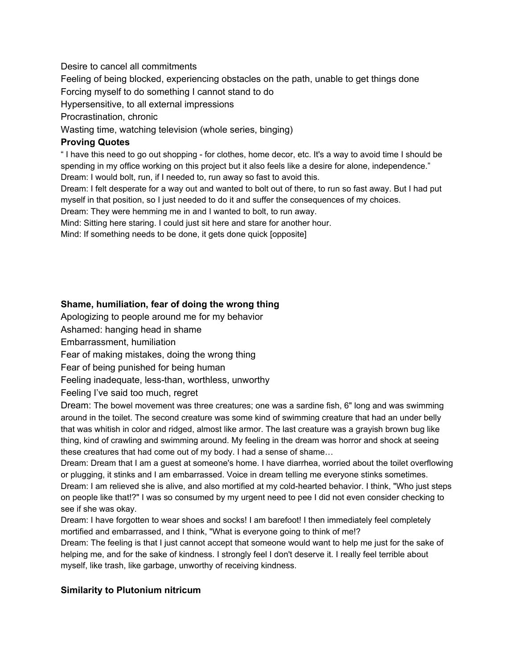### Desire to cancel all commitments

Feeling of being blocked, experiencing obstacles on the path, unable to get things done Forcing myself to do something I cannot stand to do

Hypersensitive, to all external impressions

Procrastination, chronic

Wasting time, watching television (whole series, binging)

### **Proving Quotes**

" I have this need to go out shopping - for clothes, home decor, etc. It's a way to avoid time I should be spending in my office working on this project but it also feels like a desire for alone, independence." Dream: I would bolt, run, if I needed to, run away so fast to avoid this.

Dream: I felt desperate for a way out and wanted to bolt out of there, to run so fast away. But I had put myself in that position, so I just needed to do it and suffer the consequences of my choices.

Dream: They were hemming me in and I wanted to bolt, to run away.

Mind: Sitting here staring. I could just sit here and stare for another hour.

Mind: If something needs to be done, it gets done quick [opposite]

# **Shame, humiliation, fear of doing the wrong thing**

Apologizing to people around me for my behavior

Ashamed: hanging head in shame

Embarrassment, humiliation

Fear of making mistakes, doing the wrong thing

Fear of being punished for being human

Feeling inadequate, less-than, worthless, unworthy

Feeling I've said too much, regret

Dream: The bowel movement was three creatures; one was a sardine fish, 6" long and was swimming around in the toilet. The second creature was some kind of swimming creature that had an under belly that was whitish in color and ridged, almost like armor. The last creature was a grayish brown bug like thing, kind of crawling and swimming around. My feeling in the dream was horror and shock at seeing these creatures that had come out of my body. I had a sense of shame…

Dream: Dream that I am a guest at someone's home. I have diarrhea, worried about the toilet overflowing or plugging, it stinks and I am embarrassed. Voice in dream telling me everyone stinks sometimes. Dream: I am relieved she is alive, and also mortified at my cold-hearted behavior. I think, "Who just steps on people like that!?" I was so consumed by my urgent need to pee I did not even consider checking to see if she was okay.

Dream: I have forgotten to wear shoes and socks! I am barefoot! I then immediately feel completely mortified and embarrassed, and I think, "What is everyone going to think of me!?

Dream: The feeling is that I just cannot accept that someone would want to help me just for the sake of helping me, and for the sake of kindness. I strongly feel I don't deserve it. I really feel terrible about myself, like trash, like garbage, unworthy of receiving kindness.

# **Similarity to Plutonium nitricum**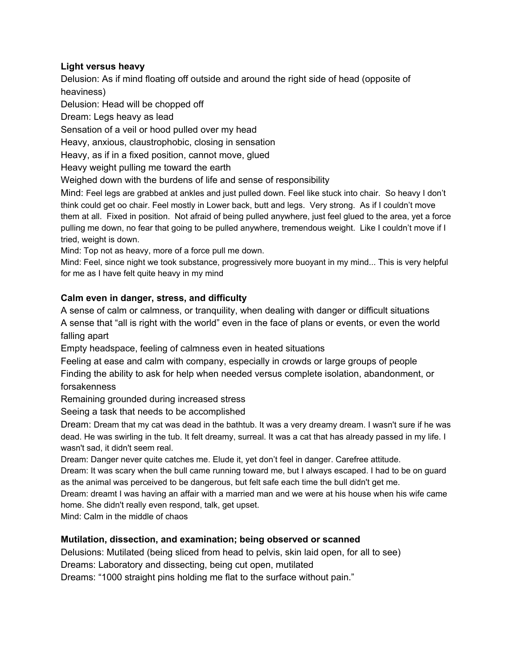# **Light versus heavy**

Delusion: As if mind floating off outside and around the right side of head (opposite of heaviness)

Delusion: Head will be chopped off

Dream: Legs heavy as lead

Sensation of a veil or hood pulled over my head

Heavy, anxious, claustrophobic, closing in sensation

Heavy, as if in a fixed position, cannot move, glued

Heavy weight pulling me toward the earth

Weighed down with the burdens of life and sense of responsibility

Mind: Feel legs are grabbed at ankles and just pulled down. Feel like stuck into chair. So heavy I don't think could get oo chair. Feel mostly in Lower back, butt and legs. Very strong. As if I couldn't move them at all. Fixed in position. Not afraid of being pulled anywhere, just feel glued to the area, yet a force pulling me down, no fear that going to be pulled anywhere, tremendous weight. Like I couldn't move if I tried, weight is down.

Mind: Top not as heavy, more of a force pull me down.

Mind: Feel, since night we took substance, progressively more buoyant in my mind... This is very helpful for me as I have felt quite heavy in my mind

### **Calm even in danger, stress, and difficulty**

A sense of calm or calmness, or tranquility, when dealing with danger or difficult situations A sense that "all is right with the world" even in the face of plans or events, or even the world falling apart

Empty headspace, feeling of calmness even in heated situations

Feeling at ease and calm with company, especially in crowds or large groups of people Finding the ability to ask for help when needed versus complete isolation, abandonment, or forsakenness

Remaining grounded during increased stress

Seeing a task that needs to be accomplished

Dream: Dream that my cat was dead in the bathtub. It was a very dreamy dream. I wasn't sure if he was dead. He was swirling in the tub. It felt dreamy, surreal. It was a cat that has already passed in my life. I wasn't sad, it didn't seem real.

Dream: Danger never quite catches me. Elude it, yet don't feel in danger. Carefree attitude.

Dream: It was scary when the bull came running toward me, but I always escaped. I had to be on guard as the animal was perceived to be dangerous, but felt safe each time the bull didn't get me.

Dream: dreamt I was having an affair with a married man and we were at his house when his wife came home. She didn't really even respond, talk, get upset.

Mind: Calm in the middle of chaos

### **Mutilation, dissection, and examination; being observed or scanned**

Delusions: Mutilated (being sliced from head to pelvis, skin laid open, for all to see)

Dreams: Laboratory and dissecting, being cut open, mutilated

Dreams: "1000 straight pins holding me flat to the surface without pain."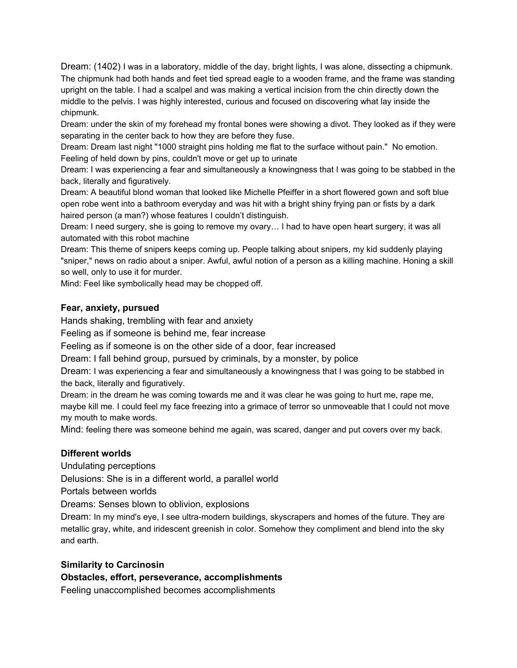Dream: (1402) I was in a laboratory, middle of the day, bright lights, I was alone, dissecting a chipmunk. The chipmunk had both hands and feet tied spread eagle to a wooden frame, and the frame was standing upright on the table. I had a scalpel and was making a vertical incision from the chin directly down the middle to the pelvis. I was highly interested, curious and focused on discovering what lay inside the chipmunk.

Dream: under the skin of my forehead my frontal bones were showing a divot. They looked as if they were separating in the center back to how they are before they fuse.

Dream: Dream last night "1000 straight pins holding me flat to the surface without pain." No emotion. Feeling of held down by pins, couldn't move or get up to urinate

Dream: I was experiencing a fear and simultaneously a knowingness that I was going to be stabbed in the back, literally and figuratively.

Dream: A beautiful blond woman that looked like Michelle Pfeiffer in a short flowered gown and soft blue open robe went into a bathroom everyday and was hit with a bright shiny frying pan or fists by a dark haired person (a man?) whose features I couldn't distinguish.

Dream: I need surgery, she is going to remove my ovary… I had to have open heart surgery, it was all automated with this robot machine

Dream: This theme of snipers keeps coming up. People talking about snipers, my kid suddenly playing "sniper," news on radio about a sniper. Awful, awful notion of a person as a killing machine. Honing a skill so well, only to use it for murder.

Mind: Feel like symbolically head may be chopped off.

### **Fear, anxiety, pursued**

Hands shaking, trembling with fear and anxiety

Feeling as if someone is behind me, fear increase

Feeling as if someone is on the other side of a door, fear increased

Dream: I fall behind group, pursued by criminals, by a monster, by police

Dream: I was experiencing a fear and simultaneously a knowingness that I was going to be stabbed in the back, literally and figuratively.

Dream: in the dream he was coming towards me and it was clear he was going to hurt me, rape me, maybe kill me. I could feel my face freezing into a grimace of terror so unmoveable that I could not move my mouth to make words.

Mind: feeling there was someone behind me again, was scared, danger and put covers over my back.

#### **Different worlds**

Undulating perceptions

Delusions: She is in a different world, a parallel world

Portals between worlds

Dreams: Senses blown to oblivion, explosions

Dream: In my mind's eye, I see ultra-modern buildings, skyscrapers and homes of the future. They are metallic gray, white, and iridescent greenish in color. Somehow they compliment and blend into the sky and earth.

#### **Similarity to Carcinosin**

**Obstacles, effort, perseverance, accomplishments**

Feeling unaccomplished becomes accomplishments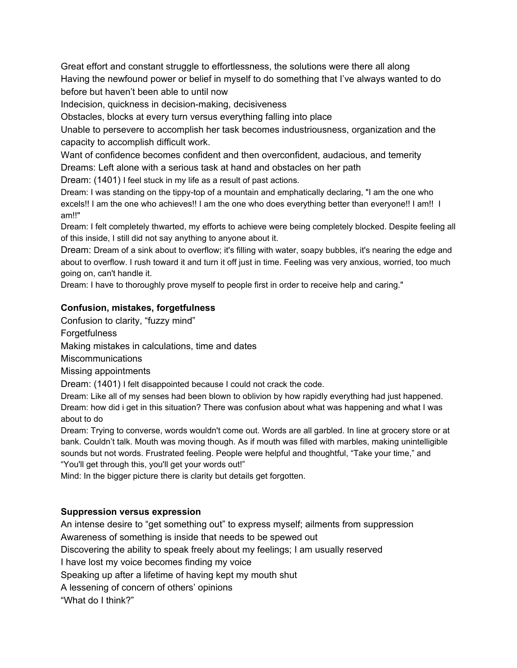Great effort and constant struggle to effortlessness, the solutions were there all along Having the newfound power or belief in myself to do something that I've always wanted to do before but haven't been able to until now

Indecision, quickness in decision-making, decisiveness

Obstacles, blocks at every turn versus everything falling into place

Unable to persevere to accomplish her task becomes industriousness, organization and the capacity to accomplish difficult work.

Want of confidence becomes confident and then overconfident, audacious, and temerity Dreams: Left alone with a serious task at hand and obstacles on her path

Dream: (1401) I feel stuck in my life as a result of past actions.

Dream: I was standing on the tippy-top of a mountain and emphatically declaring, "I am the one who excels!! I am the one who achieves!! I am the one who does everything better than everyone!! I am!! I am!!"

Dream: I felt completely thwarted, my efforts to achieve were being completely blocked. Despite feeling all of this inside, I still did not say anything to anyone about it.

Dream: Dream of a sink about to overflow; it's filling with water, soapy bubbles, it's nearing the edge and about to overflow. I rush toward it and turn it off just in time. Feeling was very anxious, worried, too much going on, can't handle it.

Dream: I have to thoroughly prove myself to people first in order to receive help and caring."

# **Confusion, mistakes, forgetfulness**

Confusion to clarity, "fuzzy mind"

Forgetfulness

Making mistakes in calculations, time and dates

**Miscommunications** 

Missing appointments

Dream: (1401) I felt disappointed because I could not crack the code.

Dream: Like all of my senses had been blown to oblivion by how rapidly everything had just happened. Dream: how did i get in this situation? There was confusion about what was happening and what I was about to do

Dream: Trying to converse, words wouldn't come out. Words are all garbled. In line at grocery store or at bank. Couldn't talk. Mouth was moving though. As if mouth was filled with marbles, making unintelligible sounds but not words. Frustrated feeling. People were helpful and thoughtful, "Take your time," and "You'll get through this, you'll get your words out!"

Mind: In the bigger picture there is clarity but details get forgotten.

# **Suppression versus expression**

An intense desire to "get something out" to express myself; ailments from suppression Awareness of something is inside that needs to be spewed out Discovering the ability to speak freely about my feelings; I am usually reserved I have lost my voice becomes finding my voice Speaking up after a lifetime of having kept my mouth shut A lessening of concern of others' opinions "What do I think?"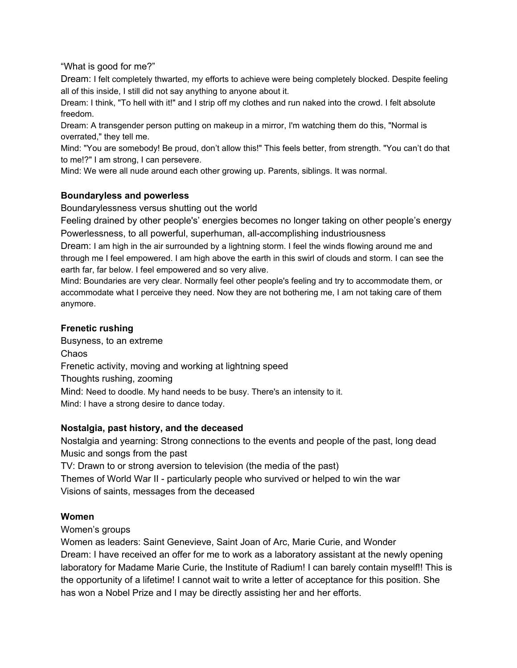"What is good for me?"

Dream: I felt completely thwarted, my efforts to achieve were being completely blocked. Despite feeling all of this inside, I still did not say anything to anyone about it.

Dream: I think, "To hell with it!" and I strip off my clothes and run naked into the crowd. I felt absolute freedom.

Dream: A transgender person putting on makeup in a mirror, I'm watching them do this, "Normal is overrated," they tell me.

Mind: "You are somebody! Be proud, don't allow this!" This feels better, from strength. "You can't do that to me!?" I am strong, I can persevere.

Mind: We were all nude around each other growing up. Parents, siblings. It was normal.

### **Boundaryless and powerless**

Boundarylessness versus shutting out the world

Feeling drained by other people's' energies becomes no longer taking on other people's energy Powerlessness, to all powerful, superhuman, all-accomplishing industriousness

Dream: I am high in the air surrounded by a lightning storm. I feel the winds flowing around me and through me I feel empowered. I am high above the earth in this swirl of clouds and storm. I can see the earth far, far below. I feel empowered and so very alive.

Mind: Boundaries are very clear. Normally feel other people's feeling and try to accommodate them, or accommodate what I perceive they need. Now they are not bothering me, I am not taking care of them anymore.

### **Frenetic rushing**

Busyness, to an extreme Chaos Frenetic activity, moving and working at lightning speed Thoughts rushing, zooming Mind: Need to doodle. My hand needs to be busy. There's an intensity to it. Mind: I have a strong desire to dance today.

# **Nostalgia, past history, and the deceased**

Nostalgia and yearning: Strong connections to the events and people of the past, long dead Music and songs from the past

TV: Drawn to or strong aversion to television (the media of the past)

Themes of World War II - particularly people who survived or helped to win the war Visions of saints, messages from the deceased

# **Women**

Women's groups

Women as leaders: Saint Genevieve, Saint Joan of Arc, Marie Curie, and Wonder Dream: I have received an offer for me to work as a laboratory assistant at the newly opening laboratory for Madame Marie Curie, the Institute of Radium! I can barely contain myself!! This is the opportunity of a lifetime! I cannot wait to write a letter of acceptance for this position. She has won a Nobel Prize and I may be directly assisting her and her efforts.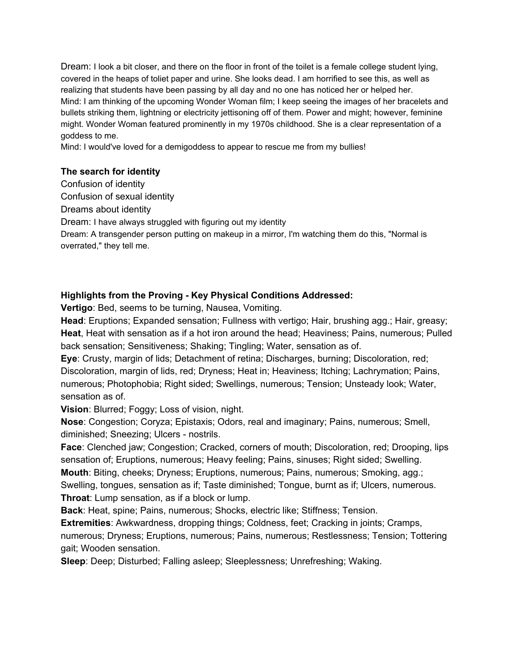Dream: I look a bit closer, and there on the floor in front of the toilet is a female college student lying, covered in the heaps of toliet paper and urine. She looks dead. I am horrified to see this, as well as realizing that students have been passing by all day and no one has noticed her or helped her. Mind: I am thinking of the upcoming Wonder Woman film; I keep seeing the images of her bracelets and bullets striking them, lightning or electricity jettisoning off of them. Power and might; however, feminine might. Wonder Woman featured prominently in my 1970s childhood. She is a clear representation of a goddess to me.

Mind: I would've loved for a demigoddess to appear to rescue me from my bullies!

### **The search for identity**

Confusion of identity

Confusion of sexual identity

Dreams about identity

Dream: I have always struggled with figuring out my identity

Dream: A transgender person putting on makeup in a mirror, I'm watching them do this, "Normal is overrated," they tell me.

# **Highlights from the Proving - Key Physical Conditions Addressed:**

**Vertigo**: Bed, seems to be turning, Nausea, Vomiting.

**Head**: Eruptions; Expanded sensation; Fullness with vertigo; Hair, brushing agg.; Hair, greasy; **Heat**, Heat with sensation as if a hot iron around the head; Heaviness; Pains, numerous; Pulled back sensation; Sensitiveness; Shaking; Tingling; Water, sensation as of.

**Eye**: Crusty, margin of lids; Detachment of retina; Discharges, burning; Discoloration, red; Discoloration, margin of lids, red; Dryness; Heat in; Heaviness; Itching; Lachrymation; Pains, numerous; Photophobia; Right sided; Swellings, numerous; Tension; Unsteady look; Water, sensation as of.

**Vision**: Blurred; Foggy; Loss of vision, night.

**Nose**: Congestion; Coryza; Epistaxis; Odors, real and imaginary; Pains, numerous; Smell, diminished; Sneezing; Ulcers - nostrils.

**Face**: Clenched jaw; Congestion; Cracked, corners of mouth; Discoloration, red; Drooping, lips sensation of; Eruptions, numerous; Heavy feeling; Pains, sinuses; Right sided; Swelling. **Mouth**: Biting, cheeks; Dryness; Eruptions, numerous; Pains, numerous; Smoking, agg.; Swelling, tongues, sensation as if; Taste diminished; Tongue, burnt as if; Ulcers, numerous. **Throat**: Lump sensation, as if a block or lump.

**Back**: Heat, spine; Pains, numerous; Shocks, electric like; Stiffness; Tension.

**Extremities**: Awkwardness, dropping things; Coldness, feet; Cracking in joints; Cramps, numerous; Dryness; Eruptions, numerous; Pains, numerous; Restlessness; Tension; Tottering gait; Wooden sensation.

**Sleep**: Deep; Disturbed; Falling asleep; Sleeplessness; Unrefreshing; Waking.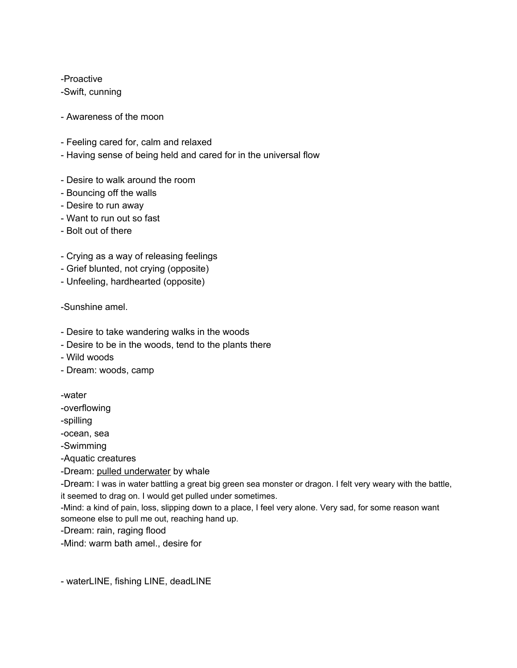-Proactive

-Swift, cunning

- Awareness of the moon
- Feeling cared for, calm and relaxed
- Having sense of being held and cared for in the universal flow
- Desire to walk around the room
- Bouncing off the walls
- Desire to run away
- Want to run out so fast
- Bolt out of there
- Crying as a way of releasing feelings
- Grief blunted, not crying (opposite)
- Unfeeling, hardhearted (opposite)

-Sunshine amel.

- Desire to take wandering walks in the woods
- Desire to be in the woods, tend to the plants there
- Wild woods
- Dream: woods, camp

-water

-overflowing

-spilling

-ocean, sea

-Swimming

-Aquatic creatures

-Dream: pulled underwater by whale

-Dream: I was in water battling a great big green sea monster or dragon. I felt very weary with the battle, it seemed to drag on. I would get pulled under sometimes.

-Mind: a kind of pain, loss, slipping down to a place, I feel very alone. Very sad, for some reason want someone else to pull me out, reaching hand up.

-Dream: rain, raging flood

-Mind: warm bath amel., desire for

- waterLINE, fishing LINE, deadLINE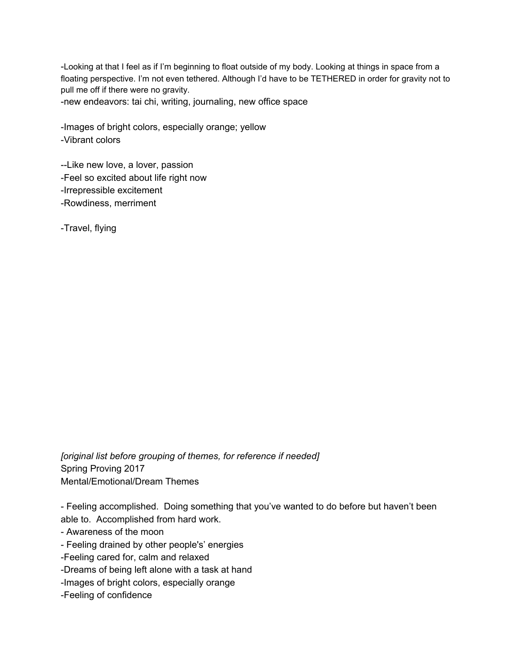-Looking at that I feel as if I'm beginning to float outside of my body. Looking at things in space from a floating perspective. I'm not even tethered. Although I'd have to be TETHERED in order for gravity not to pull me off if there were no gravity.

-new endeavors: tai chi, writing, journaling, new office space

-Images of bright colors, especially orange; yellow -Vibrant colors

--Like new love, a lover, passion -Feel so excited about life right now -Irrepressible excitement -Rowdiness, merriment

-Travel, flying

*[original list before grouping of themes, for reference if needed]* Spring Proving 2017 Mental/Emotional/Dream Themes

- Feeling accomplished. Doing something that you've wanted to do before but haven't been able to. Accomplished from hard work.

- Awareness of the moon

- Feeling drained by other people's' energies

-Feeling cared for, calm and relaxed

-Dreams of being left alone with a task at hand

-Images of bright colors, especially orange

-Feeling of confidence